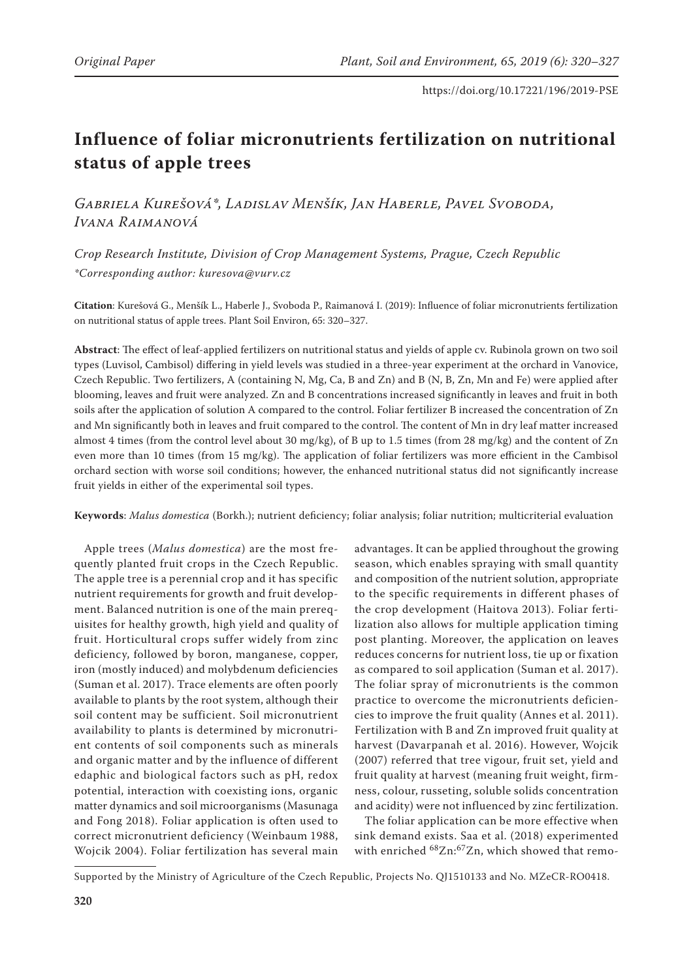# **Influence of foliar micronutrients fertilization on nutritional status of apple trees**

*Gabriela Kurešová\*, Ladislav Menšík, Jan Haberle, Pavel Svoboda, Ivana Raimanová*

*Crop Research Institute, Division of Crop Management Systems, Prague, Czech Republic \*Corresponding author: kuresova@vurv.cz*

**Citation**: Kurešová G., Menšík L., Haberle J., Svoboda P., Raimanová I. (2019): Influence of foliar micronutrients fertilization on nutritional status of apple trees. Plant Soil Environ, 65: 320–327.

**Abstract**: The effect of leaf-applied fertilizers on nutritional status and yields of apple cv. Rubinola grown on two soil types (Luvisol, Cambisol) differing in yield levels was studied in a three-year experiment at the orchard in Vanovice, Czech Republic. Two fertilizers, A (containing N, Mg, Ca, B and Zn) and B (N, B, Zn, Mn and Fe) were applied after blooming, leaves and fruit were analyzed. Zn and B concentrations increased significantly in leaves and fruit in both soils after the application of solution A compared to the control. Foliar fertilizer B increased the concentration of Zn and Mn significantly both in leaves and fruit compared to the control. The content of Mn in dry leaf matter increased almost 4 times (from the control level about 30 mg/kg), of B up to 1.5 times (from 28 mg/kg) and the content of Zn even more than 10 times (from 15 mg/kg). The application of foliar fertilizers was more efficient in the Cambisol orchard section with worse soil conditions; however, the enhanced nutritional status did not significantly increase fruit yields in either of the experimental soil types.

**Keywords**: *Malus domestica* (Borkh.); nutrient deficiency; foliar analysis; foliar nutrition; multicriterial evaluation

Apple trees (*Malus domestica*) are the most frequently planted fruit crops in the Czech Republic. The apple tree is a perennial crop and it has specific nutrient requirements for growth and fruit development. Balanced nutrition is one of the main prerequisites for healthy growth, high yield and quality of fruit. Horticultural crops suffer widely from zinc deficiency, followed by boron, manganese, copper, iron (mostly induced) and molybdenum deficiencies (Suman et al. 2017). Trace elements are often poorly available to plants by the root system, although their soil content may be sufficient. Soil micronutrient availability to plants is determined by micronutrient contents of soil components such as minerals and organic matter and by the influence of different edaphic and biological factors such as pH, redox potential, interaction with coexisting ions, organic matter dynamics and soil microorganisms (Masunaga and Fong 2018). Foliar application is often used to correct micronutrient deficiency (Weinbaum 1988, Wojcik 2004). Foliar fertilization has several main

advantages. It can be applied throughout the growing season, which enables spraying with small quantity and composition of the nutrient solution, appropriate to the specific requirements in different phases of the crop development (Haitova 2013). Foliar fertilization also allows for multiple application timing post planting. Moreover, the application on leaves reduces concerns for nutrient loss, tie up or fixation as compared to soil application (Suman et al. 2017). The foliar spray of micronutrients is the common practice to overcome the micronutrients deficiencies to improve the fruit quality (Annes et al. 2011). Fertilization with B and Zn improved fruit quality at harvest (Davarpanah et al. 2016). However, Wojcik (2007) referred that tree vigour, fruit set, yield and fruit quality at harvest (meaning fruit weight, firmness, colour, russeting, soluble solids concentration and acidity) were not influenced by zinc fertilization.

The foliar application can be more effective when sink demand exists. Saa et al. (2018) experimented with enriched <sup>68</sup>Zn:<sup>67</sup>Zn, which showed that remo-

Supported by the Ministry of Agriculture of the Czech Republic, Projects No. QJ1510133 and No. MZeCR-RO0418.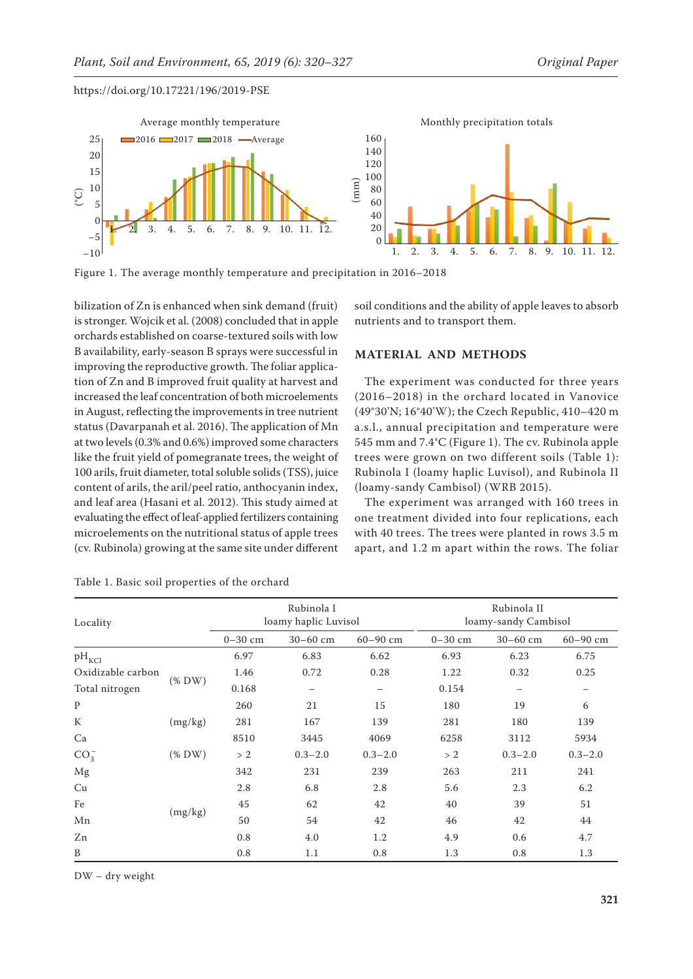

Figure 1. The average monthly temperature and precipitation in 2016–2018

bilization of Zn is enhanced when sink demand (fruit) is stronger. Wojcik et al. (2008) concluded that in apple orchards established on coarse-textured soils with low B availability, early-season B sprays were successful in improving the reproductive growth. The foliar application of Zn and B improved fruit quality at harvest and increased the leaf concentration of both microelements in August, reflecting the improvements in tree nutrient status (Davarpanah et al. 2016). The application of Mn at two levels (0.3% and 0.6%) improved some characters like the fruit yield of pomegranate trees, the weight of 100 arils, fruit diameter, total soluble solids (TSS), juice content of arils, the aril/peel ratio, anthocyanin index, and leaf area (Hasani et al. 2012). This study aimed at evaluating the effect of leaf-applied fertilizers containing microelements on the nutritional status of apple trees (cv. Rubinola) growing at the same site under different

soil conditions and the ability of apple leaves to absorb nutrients and to transport them.

## **MATERIAL AND METHODS**

The experiment was conducted for three years (2016–2018) in the orchard located in Vanovice (49°30'N; 16°40'W); the Czech Republic, 410–420 m a.s.l., annual precipitation and temperature were 545 mm and 7.4°C (Figure 1). The cv. Rubinola apple trees were grown on two different soils (Table 1): Rubinola I (loamy haplic Luvisol), and Rubinola II (loamy-sandy Cambisol) (WRB 2015).

The experiment was arranged with 160 trees in one treatment divided into four replications, each with 40 trees. The trees were planted in rows 3.5 m apart, and 1.2 m apart within the rows. The foliar

| Locality             |             | Rubinola I<br>loamy haplic Luvisol |                          |                          | Rubinola II<br>loamy-sandy Cambisol |                          |              |
|----------------------|-------------|------------------------------------|--------------------------|--------------------------|-------------------------------------|--------------------------|--------------|
|                      |             | $0 - 30$ cm                        | 30-60 cm                 | $60 - 90$ cm             | $0 - 30$ cm                         | $30 - 60$ cm             | $60 - 90$ cm |
| $\rm{pH}_{\rm{KCl}}$ |             | 6.97                               | 6.83                     | 6.62                     | 6.93                                | 6.23                     | 6.75         |
| Oxidizable carbon    |             | 1.46                               | 0.72                     | 0.28                     | 1.22                                | 0.32                     | 0.25         |
| Total nitrogen       | $(%$ (% DW) | 0.168                              | $\overline{\phantom{m}}$ | $\overline{\phantom{m}}$ | 0.154                               | $\overline{\phantom{m}}$ | -            |
| $\mathbf{P}$         |             | 260                                | 21                       | 15                       | 180                                 | 19                       | 6            |
| К                    | (mg/kg)     | 281                                | 167                      | 139                      | 281                                 | 180                      | 139          |
| Ca                   |             | 8510                               | 3445                     | 4069                     | 6258                                | 3112                     | 5934         |
| $CO_3^-$             | $(%$ (% DW) | >2                                 | $0.3 - 2.0$              | $0.3 - 2.0$              | > 2                                 | $0.3 - 2.0$              | $0.3 - 2.0$  |
| Mg                   |             | 342                                | 231                      | 239                      | 263                                 | 211                      | 241          |
| Cu                   |             | 2.8                                | 6.8                      | 2.8                      | 5.6                                 | 2.3                      | 6.2          |
| Fe                   | (mg/kg)     | 45                                 | 62                       | 42                       | 40                                  | 39                       | 51           |
| Mn                   |             | 50                                 | 54                       | 42                       | 46                                  | 42                       | 44           |
| Zn                   |             | 0.8                                | 4.0                      | 1.2                      | 4.9                                 | 0.6                      | 4.7          |
| B                    |             | 0.8                                | 1.1                      | 0.8                      | 1.3                                 | 0.8                      | 1.3          |

Table 1. Basic soil properties of the orchard

DW – dry weight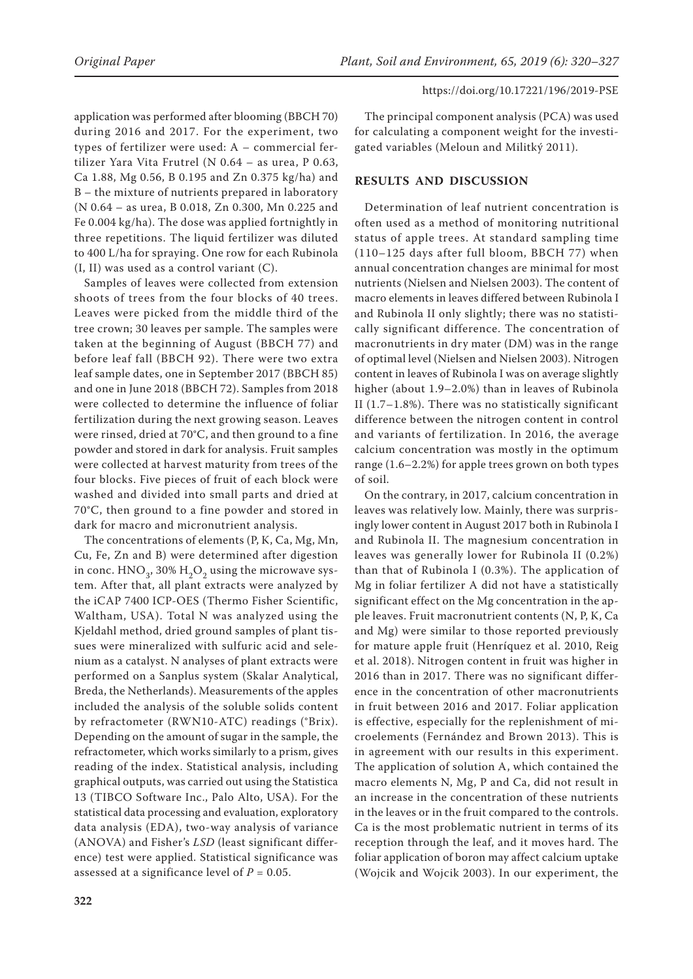application was performed after blooming (BBCH 70) during 2016 and 2017. For the experiment, two types of fertilizer were used: A – commercial fertilizer Yara Vita Frutrel (N 0.64 – as urea, P 0.63, Ca 1.88, Mg 0.56, B 0.195 and Zn 0.375 kg/ha) and B – the mixture of nutrients prepared in laboratory (N 0.64 – as urea, B 0.018, Zn 0.300, Mn 0.225 and Fe 0.004 kg/ha). The dose was applied fortnightly in three repetitions. The liquid fertilizer was diluted to 400 L/ha for spraying. One row for each Rubinola (I, II) was used as a control variant (C).

Samples of leaves were collected from extension shoots of trees from the four blocks of 40 trees. Leaves were picked from the middle third of the tree crown; 30 leaves per sample. The samples were taken at the beginning of August (BBCH 77) and before leaf fall (BBCH 92). There were two extra leaf sample dates, one in September 2017 (BBCH 85) and one in June 2018 (BBCH 72). Samples from 2018 were collected to determine the influence of foliar fertilization during the next growing season. Leaves were rinsed, dried at 70°C, and then ground to a fine powder and stored in dark for analysis. Fruit samples were collected at harvest maturity from trees of the four blocks. Five pieces of fruit of each block were washed and divided into small parts and dried at 70°C, then ground to a fine powder and stored in dark for macro and micronutrient analysis.

The concentrations of elements (P, K, Ca, Mg, Mn, Cu, Fe, Zn and B) were determined after digestion in conc.  $HNO<sub>3</sub>$ , 30%  $H<sub>2</sub>O<sub>2</sub>$  using the microwave system. After that, all plant extracts were analyzed by the iCAP 7400 ICP-OES (Thermo Fisher Scientific, Waltham, USA). Total N was analyzed using the Kjeldahl method, dried ground samples of plant tissues were mineralized with sulfuric acid and selenium as a catalyst. N analyses of plant extracts were performed on a Sanplus system (Skalar Analytical, Breda, the Netherlands). Measurements of the apples included the analysis of the soluble solids content by refractometer (RWN10-ATC) readings (°Brix). Depending on the amount of sugar in the sample, the refractometer, which works similarly to a prism, gives reading of the index. Statistical analysis, including graphical outputs, was carried out using the Statistica 13 (TIBCO Software Inc., Palo Alto, USA). For the statistical data processing and evaluation, exploratory data analysis (EDA), two-way analysis of variance (ANOVA) and Fisher's *LSD* (least significant difference) test were applied. Statistical significance was assessed at a significance level of *P* = 0.05.

https://doi.org/10.17221/196/2019-PSE

The principal component analysis (PCA) was used for calculating a component weight for the investigated variables (Meloun and Militký 2011).

# **RESULTS AND DISCUSSION**

Determination of leaf nutrient concentration is often used as a method of monitoring nutritional status of apple trees. At standard sampling time (110–125 days after full bloom, BBCH 77) when annual concentration changes are minimal for most nutrients (Nielsen and Nielsen 2003). The content of macro elements in leaves differed between Rubinola I and Rubinola II only slightly; there was no statistically significant difference. The concentration of macronutrients in dry mater (DM) was in the range of optimal level (Nielsen and Nielsen 2003). Nitrogen content in leaves of Rubinola I was on average slightly higher (about 1.9–2.0%) than in leaves of Rubinola II  $(1.7-1.8\%)$ . There was no statistically significant difference between the nitrogen content in control and variants of fertilization. In 2016, the average calcium concentration was mostly in the optimum range (1.6–2.2%) for apple trees grown on both types of soil.

On the contrary, in 2017, calcium concentration in leaves was relatively low. Mainly, there was surprisingly lower content in August 2017 both in Rubinola I and Rubinola II. The magnesium concentration in leaves was generally lower for Rubinola II (0.2%) than that of Rubinola I (0.3%). The application of Mg in foliar fertilizer A did not have a statistically significant effect on the Mg concentration in the apple leaves. Fruit macronutrient contents (N, P, K, Ca and Mg) were similar to those reported previously for mature apple fruit (Henríquez et al. 2010, Reig et al. 2018). Nitrogen content in fruit was higher in 2016 than in 2017. There was no significant difference in the concentration of other macronutrients in fruit between 2016 and 2017. Foliar application is effective, especially for the replenishment of microelements (Fernández and Brown 2013). This is in agreement with our results in this experiment. The application of solution A, which contained the macro elements N, Mg, P and Ca, did not result in an increase in the concentration of these nutrients in the leaves or in the fruit compared to the controls. Ca is the most problematic nutrient in terms of its reception through the leaf, and it moves hard. The foliar application of boron may affect calcium uptake (Wojcik and Wojcik 2003). In our experiment, the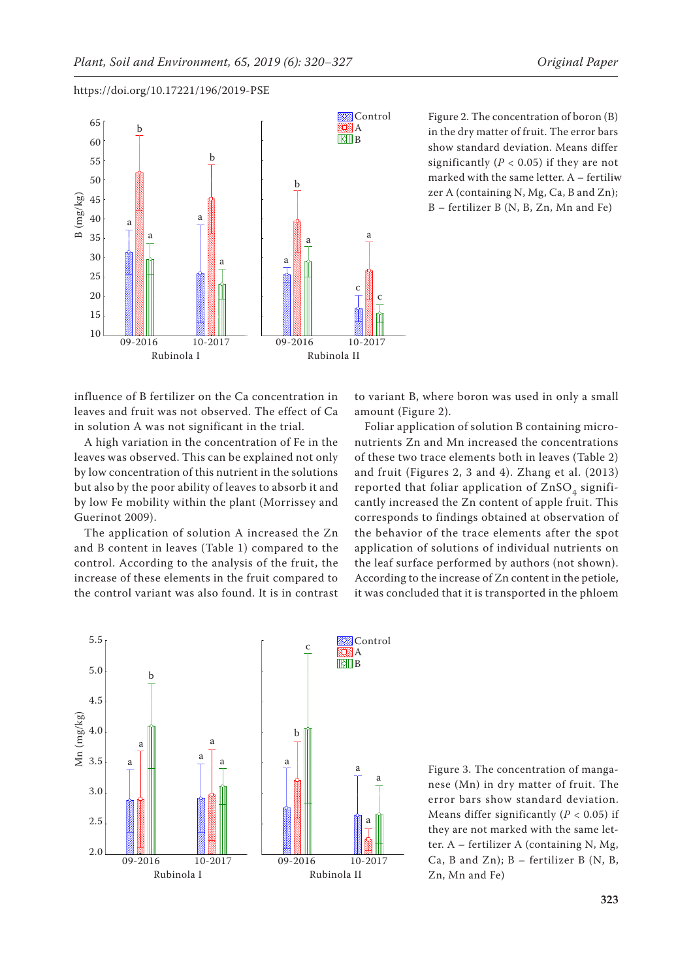

Figure 2. The concentration of boron (B) in the dry matter of fruit. The error bars show standard deviation. Means differ significantly ( $P < 0.05$ ) if they are not marked with the same letter.  $A$  – fertiliw zer A (containing N, Mg, Ca, B and Zn); B – fertilizer B (N, B, Zn, Mn and Fe)

influence of B fertilizer on the Ca concentration in leaves and fruit was not observed. The effect of Ca in solution A was not significant in the trial.

A high variation in the concentration of Fe in the leaves was observed. This can be explained not only by low concentration of this nutrient in the solutions but also by the poor ability of leaves to absorb it and by low Fe mobility within the plant (Morrissey and Guerinot 2009).

The application of solution A increased the Zn and B content in leaves (Table 1) compared to the control. According to the analysis of the fruit, the increase of these elements in the fruit compared to the control variant was also found. It is in contrast

to variant B, where boron was used in only a small amount (Figure 2).

Foliar application of solution B containing micronutrients Zn and Mn increased the concentrations of these two trace elements both in leaves (Table 2) and fruit (Figures 2, 3 and 4). Zhang et al. (2013) reported that foliar application of  $ZnSO<sub>4</sub>$  significantly increased the Zn content of apple fruit. This corresponds to findings obtained at observation of the behavior of the trace elements after the spot application of solutions of individual nutrients on the leaf surface performed by authors (not shown). According to the increase of Zn content in the petiole, it was concluded that it is transported in the phloem



Figure 3. The concentration of manganese (Mn) in dry matter of fruit. The error bars show standard deviation. Means differ significantly ( $P < 0.05$ ) if they are not marked with the same letter. A – fertilizer A (containing N, Mg, Ca, B and Zn); B – fertilizer B (N, B, Zn, Mn and Fe)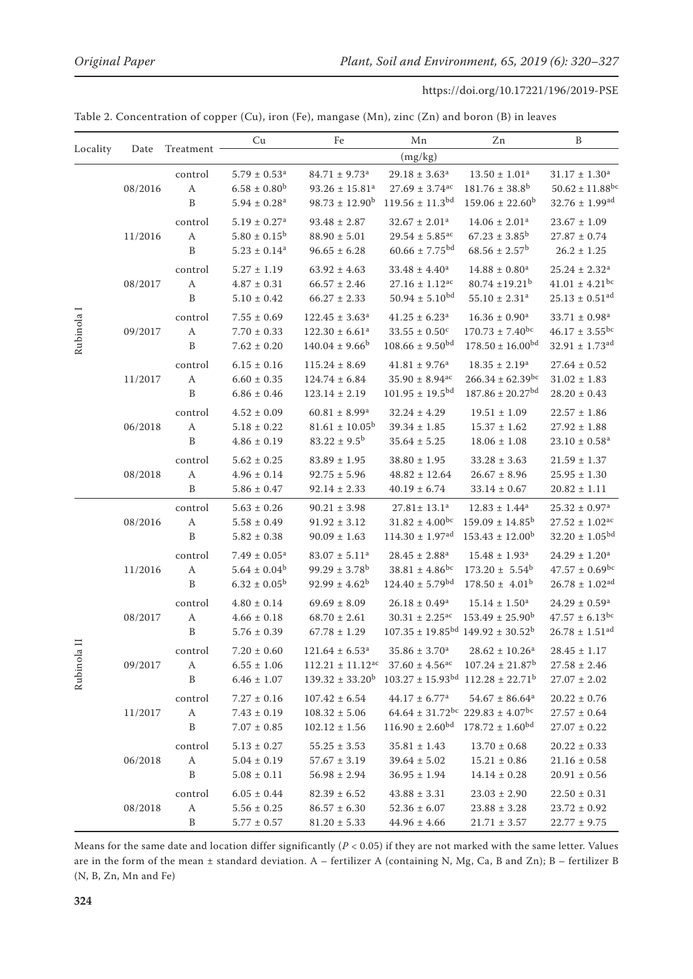| Table 2. Concentration of copper $(Cu)$ , iron $(Fe)$ , mangase $(Mn)$ , zinc $(Zn)$ and boron $(B)$ in leaves |  |  |  |
|----------------------------------------------------------------------------------------------------------------|--|--|--|
|----------------------------------------------------------------------------------------------------------------|--|--|--|

|            |         |                           | Cu                           | Fe                               | Mn                                                             | Zn                                                              | B                              |
|------------|---------|---------------------------|------------------------------|----------------------------------|----------------------------------------------------------------|-----------------------------------------------------------------|--------------------------------|
| Locality   | Date    | Treatment -               |                              |                                  | (mg/kg)                                                        |                                                                 |                                |
| Rubinola I |         | control                   | $5.79 \pm 0.53$ <sup>a</sup> | $84.71 \pm 9.73$ <sup>a</sup>    | $29.18 \pm 3.63^a$                                             | $13.50 \pm 1.01^a$                                              | $31.17\pm1.30^{\rm a}$         |
|            | 08/2016 | A                         | $6.58 \pm 0.80^b$            | $93.26 \pm 15.81$ <sup>a</sup>   | $27.69 \pm 3.74$ <sup>ac</sup>                                 | $181.76 \pm 38.8$ <sup>b</sup>                                  | $50.62 \pm 11.88$ bc           |
|            |         | $\, {\bf B}$              | $5.94 \pm 0.28$ <sup>a</sup> | $98.73 \pm 12.90^{\rm b}$        | $119.56 \pm 11.3$ <sup>bd</sup>                                | $159.06 \pm 22.60^b$                                            | $32.76 \pm 1.99$ <sup>ad</sup> |
|            |         | control                   | $5.19\pm0.27^{\rm a}$        | $93.48 \pm 2.87$                 | $32.67 \pm 2.01$ <sup>a</sup>                                  | $14.06 \pm 2.01^a$                                              | $23.67 \pm 1.09$               |
|            | 11/2016 | $\mathbf{A}$              | $5.80 \pm 0.15^{\rm b}$      | $88.90 \pm 5.01$                 | $29.54 \pm 5.85^{\text{ac}}$                                   | $67.23 \pm 3.85^b$                                              | $27.87 \pm 0.74$               |
|            |         | B                         | $5.23 \pm 0.14^a$            | $96.65 \pm 6.28$                 | $60.66 \pm 7.75$ <sup>bd</sup>                                 | $68.56 \pm 2.57^{\rm b}$                                        | $26.2 \pm 1.25$                |
|            | 08/2017 | control                   | $5.27 \pm 1.19$              | $63.92 \pm 4.63$                 | $33.48 \pm 4.40^a$                                             | $14.88 \pm 0.80$ <sup>a</sup>                                   | $25.24 \pm 2.32^a$             |
|            |         | A                         | $4.87 \pm 0.31$              | $66.57 \pm 2.46$                 | $27.16 \pm 1.12$ <sup>ac</sup>                                 | $80.74 \pm 19.21^b$                                             | $41.01 \pm 4.21$ <sup>bc</sup> |
|            |         | B                         | $5.10 \pm 0.42$              | $66.27 \pm 2.33$                 | $50.94 \pm 5.10^{bd}$                                          | $55.10 \pm 2.31$ <sup>a</sup>                                   | $25.13 \pm 0.51$ <sup>ad</sup> |
|            |         | control                   | $7.55 \pm 0.69$              | $122.45 \pm 3.63^a$              | $41.25 \pm 6.23$ <sup>a</sup>                                  | $16.36 \pm 0.90^a$                                              | $33.71 \pm 0.98^a$             |
|            | 09/2017 | $\mathbf{A}$              | $7.70 \pm 0.33$              | $122.30 \pm 6.61$ <sup>a</sup>   | $33.55 \pm 0.50$ <sup>c</sup>                                  | $170.73 \pm 7.40$ <sup>bc</sup>                                 | $46.17 \pm 3.55$ <sup>bc</sup> |
|            |         | B                         | $7.62 \pm 0.20$              | $140.04 \pm 9.66^b$              | $108.66 \pm 9.50^{bd}$                                         | $178.50 \pm 16.00^{bd}$                                         | $32.91 \pm 1.73$ <sup>ad</sup> |
|            |         | control                   | $6.15 \pm 0.16$              | $115.24 \pm 8.69$                | $41.81 \pm 9.76^a$                                             | $18.35 \pm 2.19^a$                                              | $27.64 \pm 0.52$               |
|            | 11/2017 | $\boldsymbol{A}$          | $6.60 \pm 0.35$              | $124.74 \pm 6.84$                | $35.90 \pm 8.94$ <sup>ac</sup>                                 | $266.34 \pm 62.39$ bc                                           | $31.02 \pm 1.83$               |
|            |         | $\, {\bf B}$              | $6.86 \pm 0.46$              | $123.14 \pm 2.19$                | $101.95 \pm 19.5$ <sup>bd</sup>                                | $187.86 \pm 20.27$ <sup>bd</sup>                                | $28.20 \pm 0.43$               |
|            |         | control                   | $4.52 \pm 0.09$              | $60.81 \pm 8.99$ <sup>a</sup>    | $32.24 \pm 4.29$                                               | $19.51 \pm 1.09$                                                | $22.57 \pm 1.86$               |
|            | 06/2018 | A                         | $5.18 \pm 0.22$              | $81.61 \pm 10.05^b$              | $39.34 \pm 1.85$                                               | $15.37 \pm 1.62$                                                | $27.92 \pm 1.88$               |
|            |         | B                         | $4.86 \pm 0.19$              | $83.22 \pm 9.5^{\rm b}$          | $35.64 \pm 5.25$                                               | $18.06 \pm 1.08$                                                | $23.10 \pm 0.58$ <sup>a</sup>  |
|            |         | control                   | $5.62 \pm 0.25$              | $83.89 \pm 1.95$                 | $38.80 \pm 1.95$                                               | $33.28 \pm 3.63$                                                | $21.59 \pm 1.37$               |
|            | 08/2018 | A                         | $4.96 \pm 0.14$              | $92.75 \pm 5.96$                 | $48.82 \pm 12.64$                                              | $26.67 \pm 8.96$                                                | $25.95 \pm 1.30$               |
|            |         | B                         | $5.86 \pm 0.47$              | $92.14 \pm 2.33$                 | $40.19 \pm 6.74$                                               | $33.14 \pm 0.67$                                                | $20.82 \pm 1.11$               |
|            | 08/2016 | control                   | $5.63 \pm 0.26$              | $90.21 \pm 3.98$                 | $27.81 \pm 13.1^a$                                             | $12.83 \pm 1.44^a$                                              | $25.32 \pm 0.97^a$             |
|            |         | $\mathbf{A}$              | $5.58\pm0.49$                | $91.92 \pm 3.12$                 | $31.82 \pm 4.00^{bc}$                                          | $159.09 \pm 14.85^b$                                            | $27.52 \pm 1.02^{\text{ac}}$   |
|            |         | B                         | $5.82 \pm 0.38$              | $90.09 \pm 1.63$                 | $114.30 \pm 1.97$ <sup>ad</sup>                                | $153.43 \pm 12.00^b$                                            | $32.20 \pm 1.05^{bd}$          |
|            |         | control                   | $7.49 \pm 0.05^a$            | $83.07 \pm 5.11^a$               | $28.45 \pm 2.88^a$                                             | $15.48 \pm 1.93$ <sup>a</sup>                                   | $24.29 \pm 1.20^a$             |
|            | 11/2016 | A                         | $5.64 \pm 0.04^b$            | $99.29 \pm 3.78^{\rm b}$         | $38.81 \pm 4.86$ <sup>bc</sup>                                 | $173.20 \pm 5.54^b$                                             | $47.57 \pm 0.69$ <sup>bc</sup> |
|            |         | B                         | $6.32 \pm 0.05^{\rm b}$      | $92.99 \pm 4.62^b$               | $124.40 \pm 5.79^{bd}$                                         | $178.50 \pm 4.01^b$                                             | $26.78 \pm 1.02^{ad}$          |
|            |         | control                   | $4.80 \pm 0.14$              | $69.69 \pm 8.09$                 | $26.18 \pm 0.49$ <sup>a</sup>                                  | $15.14 \pm 1.50^{\circ}$                                        | $24.29\pm0.59^{\rm a}$         |
|            | 08/2017 | $\boldsymbol{A}$          | $4.66 \pm 0.18$              | $68.70 \pm 2.61$                 | $30.31 \pm 2.25$ <sup>ac</sup>                                 | $153.49 \pm 25.90^{\circ}$                                      | $47.57 \pm 6.13$ <sup>bc</sup> |
| $\equiv$   |         | B                         | $5.76 \pm 0.39$              | $67.78 \pm 1.29$                 | $107.35 \pm 19.85^{\text{bd}}$ 149.92 $\pm$ 30.52 <sup>b</sup> |                                                                 | $26.78 \pm 1.51$ <sup>ad</sup> |
|            |         | control                   | $7.20\pm0.60$                | $121.64 \pm 6.53$ <sup>a</sup>   | $35.86 \pm 3.70^a$                                             | $28.62 \pm 10.26^a$                                             | $28.45 \pm 1.17$               |
|            | 09/2017 | A                         | $6.55 \pm 1.06$              | $112.21 \pm 11.12$ <sup>ac</sup> | $37.60 \pm 4.56^{\circ}$                                       | $107.24 \pm 21.87$ <sup>b</sup>                                 | $27.58 \pm 2.46$               |
| Rubinola   |         | $\, {\bf B}$              | $6.46\pm1.07$                | $139.32 \pm 33.20^b$             |                                                                | $103.27 \pm 15.93^{\text{bd}}$ 112.28 $\pm$ 22.71 <sup>b</sup>  | $27.07 \pm 2.02$               |
|            |         | control                   | $7.27 \pm 0.16$              | $107.42 \pm 6.54$                | $44.17 \pm 6.77$ <sup>a</sup>                                  | $54.67 \pm 86.64^a$                                             | $20.22 \pm 0.76$               |
|            | 11/2017 | $\boldsymbol{\mathsf{A}}$ | $7.43 \pm 0.19$              | $108.32 \pm 5.06$                |                                                                | $64.64 \pm 31.72$ <sup>bc</sup> 229.83 $\pm$ 4.07 <sup>bc</sup> | $27.57 \pm 0.64$               |
|            |         | B                         | $7.07 \pm 0.85$              | $102.12 \pm 1.56$                | $116.90 \pm 2.60^{bd}$                                         | $178.72 \pm 1.60^{bd}$                                          | $27.07 \pm 0.22$               |
|            | 06/2018 | control                   | $5.13 \pm 0.27$              | $55.25 \pm 3.53$                 | $35.81 \pm 1.43$                                               | $13.70\pm0.68$                                                  | $20.22 \pm 0.33$               |
|            |         | A                         | $5.04 \pm 0.19$              | $57.67 \pm 3.19$                 | $39.64 \pm 5.02$                                               | $15.21 \pm 0.86$                                                | $21.16 \pm 0.58$               |
|            |         | B                         | $5.08 \pm 0.11$              | $56.98 \pm 2.94$                 | $36.95 \pm 1.94$                                               | $14.14 \pm 0.28$                                                | $20.91 \pm 0.56$               |
|            |         | control                   | $6.05\pm0.44$                | $82.39\pm6.52$                   | $43.88 \pm 3.31$                                               | $23.03 \pm 2.90$                                                | $22.50 \pm 0.31$               |
|            | 08/2018 | A                         | $5.56 \pm 0.25$              | $86.57 \pm 6.30$                 | $52.36 \pm 6.07$                                               | $23.88 \pm 3.28$                                                | $23.72 \pm 0.92$               |
|            |         | B                         | $5.77 \pm 0.57$              | $81.20 \pm 5.33$                 | $44.96 \pm 4.66$                                               | $21.71 \pm 3.57$                                                | $22.77 \pm 9.75$               |

Means for the same date and location differ significantly (*P* < 0.05) if they are not marked with the same letter. Values are in the form of the mean ± standard deviation. A – fertilizer A (containing N, Mg, Ca, B and Zn); B – fertilizer B (N, B, Zn, Mn and Fe)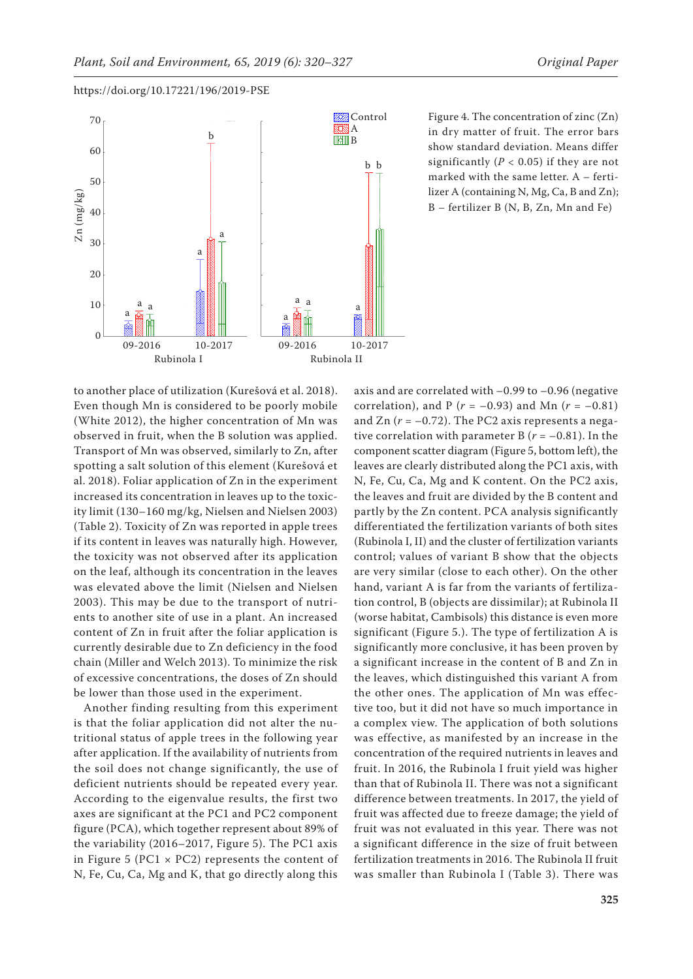

Figure 4. The concentration of zinc (Zn) in dry matter of fruit. The error bars show standard deviation. Means differ significantly ( $P < 0.05$ ) if they are not marked with the same letter. A – fertilizer A (containing N, Mg, Ca, B and Zn); B – fertilizer B (N, B, Zn, Mn and Fe)

to another place of utilization (Kurešová et al. 2018). Even though Mn is considered to be poorly mobile (White 2012), the higher concentration of Mn was observed in fruit, when the B solution was applied. Transport of Mn was observed, similarly to Zn, after spotting a salt solution of this element (Kurešová et al. 2018). Foliar application of Zn in the experiment increased its concentration in leaves up to the toxicity limit (130–160 mg/kg, Nielsen and Nielsen 2003) (Table 2). Toxicity of Zn was reported in apple trees if its content in leaves was naturally high. However, the toxicity was not observed after its application on the leaf, although its concentration in the leaves was elevated above the limit (Nielsen and Nielsen 2003). This may be due to the transport of nutrients to another site of use in a plant. An increased content of Zn in fruit after the foliar application is currently desirable due to Zn deficiency in the food chain (Miller and Welch 2013). To minimize the risk of excessive concentrations, the doses of Zn should be lower than those used in the experiment.

Another finding resulting from this experiment is that the foliar application did not alter the nutritional status of apple trees in the following year after application. If the availability of nutrients from the soil does not change significantly, the use of deficient nutrients should be repeated every year. According to the eigenvalue results, the first two axes are significant at the PC1 and PC2 component figure (PCA), which together represent about 89% of the variability (2016–2017, Figure 5). The PC1 axis in Figure 5 (PC1  $\times$  PC2) represents the content of N, Fe, Cu, Ca, Mg and K, that go directly along this axis and are correlated with –0.99 to –0.96 (negative correlation), and P ( $r = -0.93$ ) and Mn ( $r = -0.81$ ) and  $Zn$  ( $r = -0.72$ ). The PC2 axis represents a negative correlation with parameter B  $(r = -0.81)$ . In the component scatter diagram (Figure 5, bottom left), the leaves are clearly distributed along the PC1 axis, with N, Fe, Cu, Ca, Mg and K content. On the PC2 axis, the leaves and fruit are divided by the B content and partly by the Zn content. PCA analysis significantly differentiated the fertilization variants of both sites (Rubinola I, II) and the cluster of fertilization variants control; values of variant B show that the objects are very similar (close to each other). On the other hand, variant A is far from the variants of fertilization control, B (objects are dissimilar); at Rubinola II (worse habitat, Cambisols) this distance is even more significant (Figure 5.). The type of fertilization A is significantly more conclusive, it has been proven by a significant increase in the content of B and Zn in the leaves, which distinguished this variant A from the other ones. The application of Mn was effective too, but it did not have so much importance in a complex view. The application of both solutions was effective, as manifested by an increase in the concentration of the required nutrients in leaves and fruit. In 2016, the Rubinola I fruit yield was higher than that of Rubinola II. There was not a significant difference between treatments. In 2017, the yield of fruit was affected due to freeze damage; the yield of fruit was not evaluated in this year. There was not a significant difference in the size of fruit between fertilization treatments in 2016. The Rubinola II fruit was smaller than Rubinola I (Table 3). There was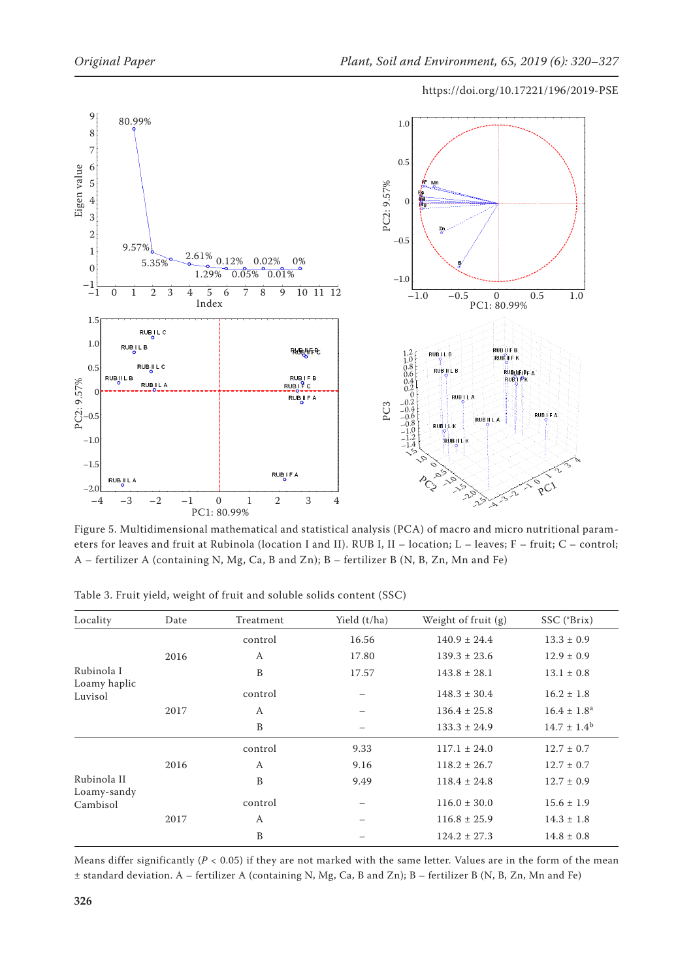

Figure 5. Multidimensional mathematical and statistical analysis (PCA) of macro and micro nutritional parameters for leaves and fruit at Rubinola (location I and II). RUB I, II – location; L – leaves; F – fruit; C – control; A – fertilizer A (containing N, Mg, Ca, B and Zn); B – fertilizer B (N, B, Zn, Mn and Fe)

| Locality                   | Date | Treatment      | Yield (t/ha) | Weight of fruit (g) | SSC (°Brix)            |
|----------------------------|------|----------------|--------------|---------------------|------------------------|
|                            |      | control        | 16.56        | $140.9 \pm 24.4$    | $13.3 \pm 0.9$         |
|                            | 2016 | A              | 17.80        | $139.3 \pm 23.6$    | $12.9 \pm 0.9$         |
| Rubinola I                 |      | B              | 17.57        | $143.8 \pm 28.1$    | $13.1 \pm 0.8$         |
| Loamy haplic<br>Luvisol    |      | control        |              | $148.3 \pm 30.4$    | $16.2 \pm 1.8$         |
|                            | 2017 | A              |              | $136.4 \pm 25.8$    | $16.4 \pm 1.8^a$       |
|                            |      | B              |              | $133.3 \pm 24.9$    | $14.7 \pm 1.4^{\rm b}$ |
|                            |      | control        | 9.33         | $117.1 \pm 24.0$    | $12.7 \pm 0.7$         |
|                            | 2016 | $\overline{A}$ | 9.16         | $118.2 \pm 26.7$    | $12.7 \pm 0.7$         |
| Rubinola II<br>Loamy-sandy |      | B              | 9.49         | $118.4 \pm 24.8$    | $12.7 \pm 0.9$         |
| Cambisol                   |      | control        |              | $116.0 \pm 30.0$    | $15.6 \pm 1.9$         |
|                            | 2017 | $\mathcal{A}$  |              | $116.8 \pm 25.9$    | $14.3 \pm 1.8$         |
|                            |      | B              |              | $124.2 \pm 27.3$    | $14.8 \pm 0.8$         |

Table 3. Fruit yield, weight of fruit and soluble solids content (SSC)

Means differ significantly  $(P < 0.05)$  if they are not marked with the same letter. Values are in the form of the mean ± standard deviation. A – fertilizer A (containing N, Mg, Ca, B and Zn); B – fertilizer B (N, B, Zn, Mn and Fe)